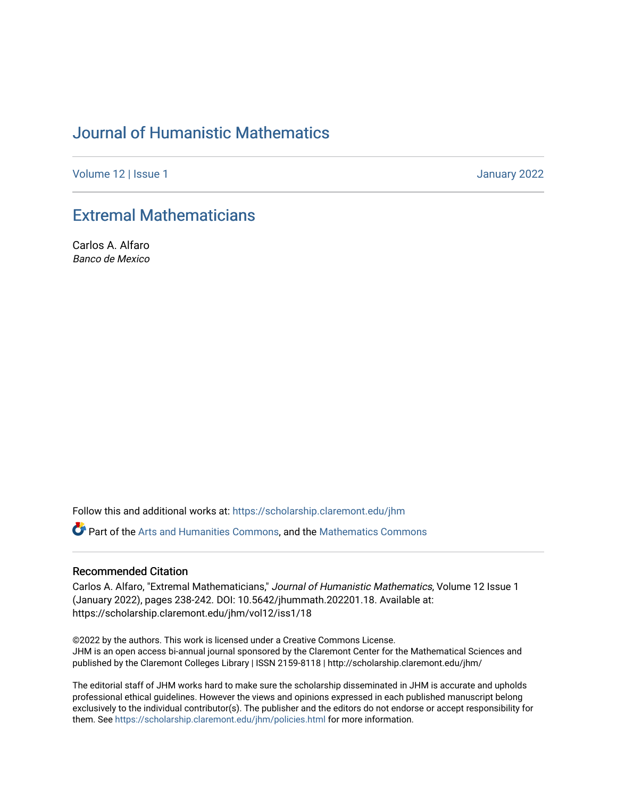# [Journal of Humanistic Mathematics](https://scholarship.claremont.edu/jhm)

[Volume 12](https://scholarship.claremont.edu/jhm/vol12) | Issue 1 January 2022

# [Extremal Mathematicians](https://scholarship.claremont.edu/jhm/vol12/iss1/18)

Carlos A. Alfaro Banco de Mexico

Follow this and additional works at: [https://scholarship.claremont.edu/jhm](https://scholarship.claremont.edu/jhm?utm_source=scholarship.claremont.edu%2Fjhm%2Fvol12%2Fiss1%2F18&utm_medium=PDF&utm_campaign=PDFCoverPages)

Part of the [Arts and Humanities Commons,](http://network.bepress.com/hgg/discipline/438?utm_source=scholarship.claremont.edu%2Fjhm%2Fvol12%2Fiss1%2F18&utm_medium=PDF&utm_campaign=PDFCoverPages) and the [Mathematics Commons](http://network.bepress.com/hgg/discipline/174?utm_source=scholarship.claremont.edu%2Fjhm%2Fvol12%2Fiss1%2F18&utm_medium=PDF&utm_campaign=PDFCoverPages) 

### Recommended Citation

Carlos A. Alfaro, "Extremal Mathematicians," Journal of Humanistic Mathematics, Volume 12 Issue 1 (January 2022), pages 238-242. DOI: 10.5642/jhummath.202201.18. Available at: https://scholarship.claremont.edu/jhm/vol12/iss1/18

©2022 by the authors. This work is licensed under a Creative Commons License. JHM is an open access bi-annual journal sponsored by the Claremont Center for the Mathematical Sciences and published by the Claremont Colleges Library | ISSN 2159-8118 | http://scholarship.claremont.edu/jhm/

The editorial staff of JHM works hard to make sure the scholarship disseminated in JHM is accurate and upholds professional ethical guidelines. However the views and opinions expressed in each published manuscript belong exclusively to the individual contributor(s). The publisher and the editors do not endorse or accept responsibility for them. See<https://scholarship.claremont.edu/jhm/policies.html> for more information.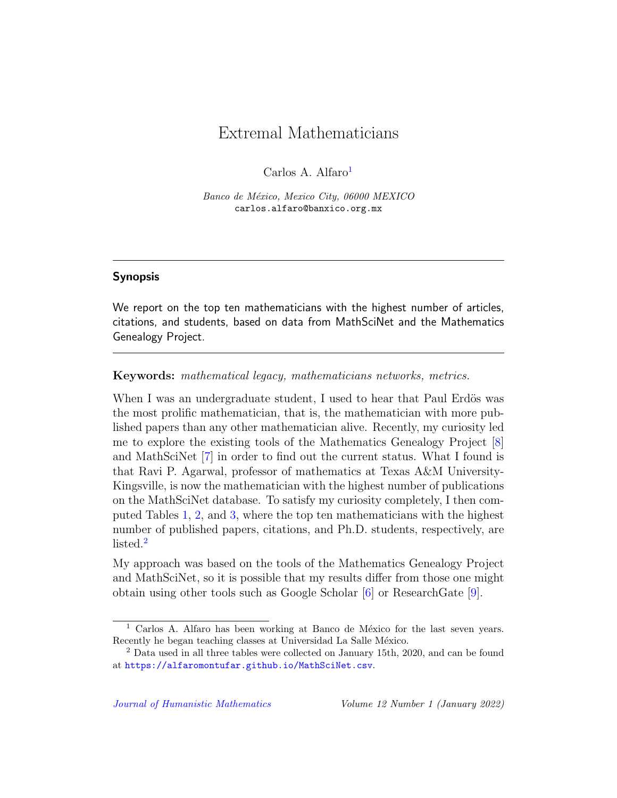## Extremal Mathematicians

Carlos A. Alfaro $<sup>1</sup>$  $<sup>1</sup>$  $<sup>1</sup>$ </sup>

Banco de México, Mexico City, 06000 MEXICO carlos.alfaro@banxico.org.mx

### Synopsis

We report on the top ten mathematicians with the highest number of articles, citations, and students, based on data from MathSciNet and the Mathematics Genealogy Project.

Keywords: mathematical legacy, mathematicians networks, metrics.

When I was an undergraduate student, I used to hear that Paul Erdös was the most prolific mathematician, that is, the mathematician with more published papers than any other mathematician alive. Recently, my curiosity led me to explore the existing tools of the Mathematics Genealogy Project [\[8\]](#page-5-0) and MathSciNet [\[7\]](#page-5-1) in order to find out the current status. What I found is that Ravi P. Agarwal, professor of mathematics at Texas A&M University-Kingsville, is now the mathematician with the highest number of publications on the MathSciNet database. To satisfy my curiosity completely, I then computed Tables [1,](#page-2-0) [2,](#page-3-0) and [3,](#page-4-0) where the top ten mathematicians with the highest number of published papers, citations, and Ph.D. students, respectively, are listed.[2](#page-1-1)

My approach was based on the tools of the Mathematics Genealogy Project and MathSciNet, so it is possible that my results differ from those one might obtain using other tools such as Google Scholar [\[6\]](#page-5-2) or ResearchGate [\[9\]](#page-5-3).

<span id="page-1-0"></span> $<sup>1</sup>$  Carlos A. Alfaro has been working at Banco de México for the last seven years.</sup> Recently he began teaching classes at Universidad La Salle México.

<span id="page-1-1"></span><sup>2</sup> Data used in all three tables were collected on January 15th, 2020, and can be found at <https://alfaromontufar.github.io/MathSciNet.csv>.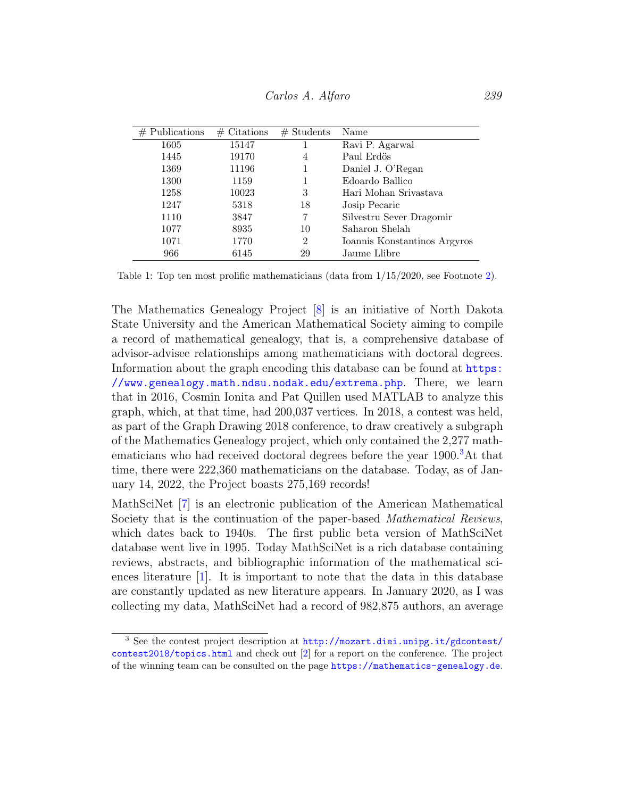<span id="page-2-0"></span>

| $#$ Publications | Citations<br># | $#$ Students | Name                         |
|------------------|----------------|--------------|------------------------------|
| 1605             | 15147          |              | Ravi P. Agarwal              |
| 1445             | 19170          | 4            | Paul Erdös                   |
| 1369             | 11196          |              | Daniel J. O'Regan            |
| 1300             | 1159           |              | Edoardo Ballico              |
| 1258             | 10023          | 3            | Hari Mohan Srivastava        |
| 1247             | 5318           | 18           | Josip Pecaric                |
| 1110             | 3847           | 7            | Silvestru Sever Dragomir     |
| 1077             | 8935           | 10           | Saharon Shelah               |
| 1071             | 1770           | 2            | Ioannis Konstantinos Argyros |
| 966              | 6145           | 29           | Jaume Llibre                 |

Table 1: Top ten most prolific mathematicians (data from 1/15/2020, see Footnote [2\)](#page-1-1).

The Mathematics Genealogy Project [\[8\]](#page-5-0) is an initiative of North Dakota State University and the American Mathematical Society aiming to compile a record of mathematical genealogy, that is, a comprehensive database of advisor-advisee relationships among mathematicians with doctoral degrees. Information about the graph encoding this database can be found at [https:](https://www.genealogy.math.ndsu.nodak.edu/extrema.php) [//www.genealogy.math.ndsu.nodak.edu/extrema.php](https://www.genealogy.math.ndsu.nodak.edu/extrema.php). There, we learn that in 2016, Cosmin Ionita and Pat Quillen used MATLAB to analyze this graph, which, at that time, had 200,037 vertices. In 2018, a contest was held, as part of the Graph Drawing 2018 conference, to draw creatively a subgraph of the Mathematics Genealogy project, which only contained the 2,277 math-ematicians who had received doctoral degrees before the year 1900.<sup>[3](#page-2-1)</sup>At that time, there were 222,360 mathematicians on the database. Today, as of January 14, 2022, the Project boasts 275,169 records!

MathSciNet [\[7\]](#page-5-1) is an electronic publication of the American Mathematical Society that is the continuation of the paper-based *Mathematical Reviews*, which dates back to 1940s. The first public beta version of MathSciNet database went live in 1995. Today MathSciNet is a rich database containing reviews, abstracts, and bibliographic information of the mathematical sciences literature  $[1]$ . It is important to note that the data in this database are constantly updated as new literature appears. In January 2020, as I was collecting my data, MathSciNet had a record of 982,875 authors, an average

<span id="page-2-1"></span><sup>3</sup> See the contest project description at [http://mozart.diei.unipg.it/gdcontest/](http://mozart.diei.unipg.it/gdcontest/contest2018/topics.html) [contest2018/topics.html](http://mozart.diei.unipg.it/gdcontest/contest2018/topics.html) and check out [\[2\]](#page-4-2) for a report on the conference. The project of the winning team can be consulted on the page <https://mathematics-genealogy.de>.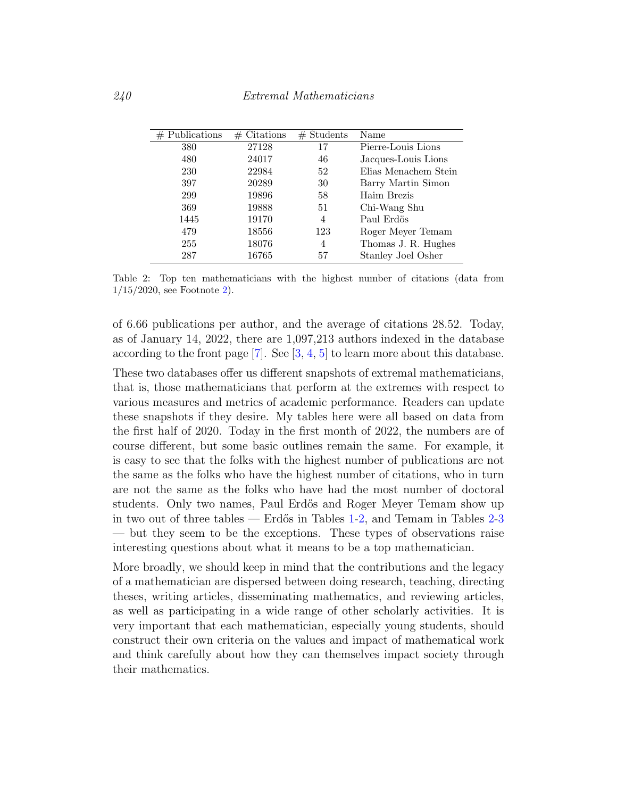<span id="page-3-0"></span>

| $#$ Publications | $\#$ Citations | $#$ Students | Name                 |
|------------------|----------------|--------------|----------------------|
| 380              | 27128          | 17           | Pierre-Louis Lions   |
| 480              | 24017          | 46           | Jacques-Louis Lions  |
| 230              | 22984          | 52           | Elias Menachem Stein |
| 397              | 20289          | 30           | Barry Martin Simon   |
| 299              | 19896          | 58           | Haim Brezis          |
| 369              | 19888          | 51           | Chi-Wang Shu         |
| 1445             | 19170          | 4            | Paul Erdös           |
| 479              | 18556          | 123          | Roger Meyer Temam    |
| 255              | 18076          | 4            | Thomas J. R. Hughes  |
| 287              | 16765          | 57           | Stanley Joel Osher   |

Table 2: Top ten mathematicians with the highest number of citations (data from 1/15/2020, see Footnote [2\)](#page-1-1).

of 6.66 publications per author, and the average of citations 28.52. Today, as of January 14, 2022, there are 1,097,213 authors indexed in the database according to the front page  $[7]$ . See  $[3, 4, 5]$  $[3, 4, 5]$  $[3, 4, 5]$  $[3, 4, 5]$  $[3, 4, 5]$  to learn more about this database.

These two databases offer us different snapshots of extremal mathematicians, that is, those mathematicians that perform at the extremes with respect to various measures and metrics of academic performance. Readers can update these snapshots if they desire. My tables here were all based on data from the first half of 2020. Today in the first month of 2022, the numbers are of course different, but some basic outlines remain the same. For example, it is easy to see that the folks with the highest number of publications are not the same as the folks who have the highest number of citations, who in turn are not the same as the folks who have had the most number of doctoral students. Only two names, Paul Erdős and Roger Meyer Temam show up in two out of three tables — Erdős in Tables  $1-2$  $1-2$ , and Temam in Tables  $2-3$  $2-3$ — but they seem to be the exceptions. These types of observations raise interesting questions about what it means to be a top mathematician.

More broadly, we should keep in mind that the contributions and the legacy of a mathematician are dispersed between doing research, teaching, directing theses, writing articles, disseminating mathematics, and reviewing articles, as well as participating in a wide range of other scholarly activities. It is very important that each mathematician, especially young students, should construct their own criteria on the values and impact of mathematical work and think carefully about how they can themselves impact society through their mathematics.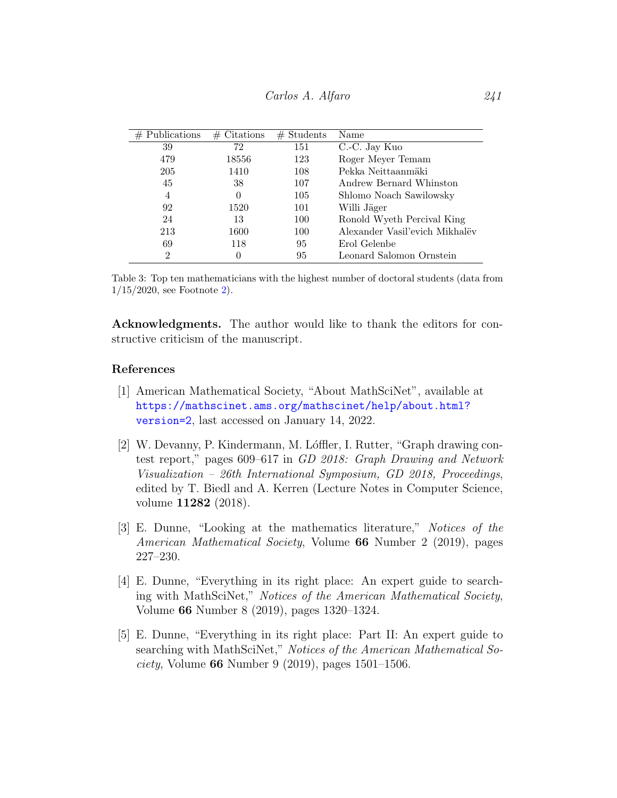<span id="page-4-0"></span>

| $#$ Publications | $#$ Citations    | $#$ Students | Name                           |
|------------------|------------------|--------------|--------------------------------|
| 39               | 72               | 151          | C.-C. Jay Kuo                  |
| 479              | 18556            | 123          | Roger Meyer Temam              |
| 205              | 1410             | 108          | Pekka Neittaanmäki             |
| 45               | 38               | 107          | Andrew Bernard Whinston        |
| 4                | $\Omega$         | 105          | Shlomo Noach Sawilowsky        |
| 92               | 1520             | 101          | Willi Jäger                    |
| 24               | 13               | 100          | Ronold Wyeth Percival King     |
| 213              | 1600             | 100          | Alexander Vasil'evich Mikhalëv |
| 69               | 118              | 95           | Erol Gelenbe                   |
| $\overline{2}$   | $\left( \right)$ | 95           | Leonard Salomon Ornstein       |

Table 3: Top ten mathematicians with the highest number of doctoral students (data from 1/15/2020, see Footnote [2\)](#page-1-1).

Acknowledgments. The author would like to thank the editors for constructive criticism of the manuscript.

#### References

- <span id="page-4-1"></span>[1] American Mathematical Society, "About MathSciNet", available at [https://mathscinet.ams.org/mathscinet/help/about.html?](https://mathscinet.ams.org/mathscinet/help/about.html?version=2) [version=2](https://mathscinet.ams.org/mathscinet/help/about.html?version=2), last accessed on January 14, 2022.
- <span id="page-4-2"></span>[2] W. Devanny, P. Kindermann, M. Lóffler, I. Rutter, "Graph drawing contest report," pages 609–617 in GD 2018: Graph Drawing and Network Visualization – 26th International Symposium, GD 2018, Proceedings, edited by T. Biedl and A. Kerren (Lecture Notes in Computer Science, volume 11282 (2018).
- <span id="page-4-3"></span>[3] E. Dunne, "Looking at the mathematics literature," Notices of the American Mathematical Society, Volume 66 Number 2 (2019), pages 227–230.
- <span id="page-4-4"></span>[4] E. Dunne, "Everything in its right place: An expert guide to searching with MathSciNet," Notices of the American Mathematical Society, Volume 66 Number 8 (2019), pages 1320–1324.
- <span id="page-4-5"></span>[5] E. Dunne, "Everything in its right place: Part II: An expert guide to searching with MathSciNet," Notices of the American Mathematical So*ciety*, Volume **66** Number 9 (2019), pages  $1501-1506$ .